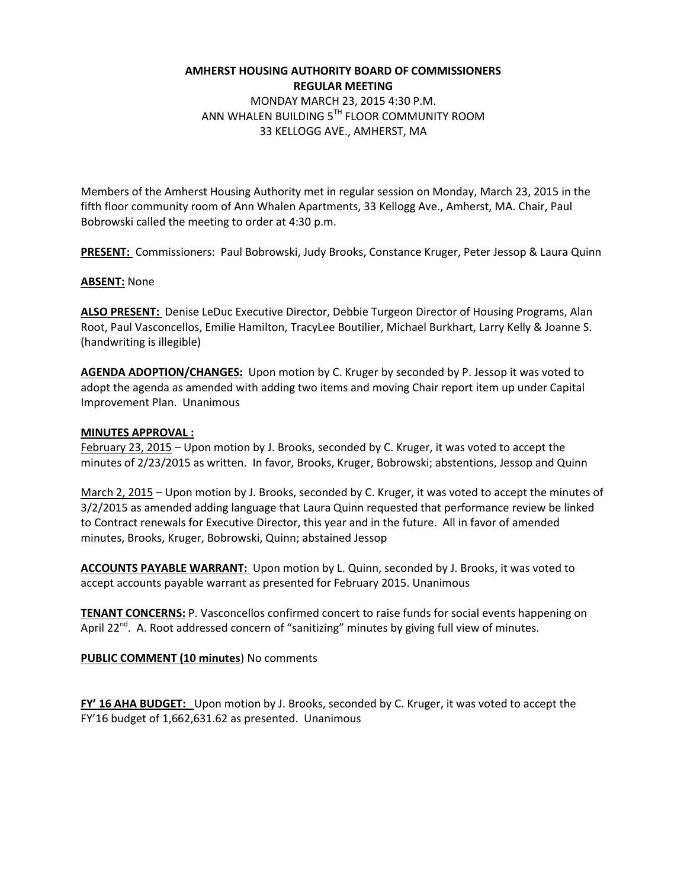# **AMHERST HOUSING AUTHORITY BOARD OF COMMISSIONERS REGULAR MEETING**

MONDAY MARCH 23, 2015 4:30 P.M. ANN WHALEN BUILDING 5TH FLOOR COMMUNITY ROOM 33 KELLOGG AVE., AMHERST, MA

Members of the Amherst Housing Authority met in regular session on Monday, March 23, 2015 in the fifth floor community room of Ann Whalen Apartments, 33 Kellogg Ave., Amherst, MA. Chair, Paul Bobrowski called the meeting to order at 4:30 p.m.

**PRESENT:** Commissioners: Paul Bobrowski, Judy Brooks, Constance Kruger, Peter Jessop & Laura Quinn

## **ABSENT:** None

**ALSO PRESENT:** Denise LeDuc Executive Director, Debbie Turgeon Director of Housing Programs, Alan Root, Paul Vasconcellos, Emilie Hamilton, TracyLee Boutilier, Michael Burkhart, Larry Kelly & Joanne S. (handwriting is illegible)

**AGENDA ADOPTION/CHANGES:** Upon motion by C. Kruger by seconded by P. Jessop it was voted to adopt the agenda as amended with adding two items and moving Chair report item up under Capital Improvement Plan. Unanimous

### **MINUTES APPROVAL :**

February 23, 2015 – Upon motion by J. Brooks, seconded by C. Kruger, it was voted to accept the minutes of 2/23/2015 as written. In favor, Brooks, Kruger, Bobrowski; abstentions, Jessop and Quinn

March 2, 2015 – Upon motion by J. Brooks, seconded by C. Kruger, it was voted to accept the minutes of 3/2/2015 as amended adding language that Laura Quinn requested that performance review be linked to Contract renewals for Executive Director, this year and in the future. All in favor of amended minutes, Brooks, Kruger, Bobrowski, Quinn; abstained Jessop

**ACCOUNTS PAYABLE WARRANT:** Upon motion by L. Quinn, seconded by J. Brooks, it was voted to accept accounts payable warrant as presented for February 2015. Unanimous

**TENANT CONCERNS:** P. Vasconcellos confirmed concert to raise funds for social events happening on April 22 $^{nd}$ . A. Root addressed concern of "sanitizing" minutes by giving full view of minutes.

**PUBLIC COMMENT (10 minutes**) No comments

**FY' 16 AHA BUDGET:** Upon motion by J. Brooks, seconded by C. Kruger, it was voted to accept the FY'16 budget of 1,662,631.62 as presented. Unanimous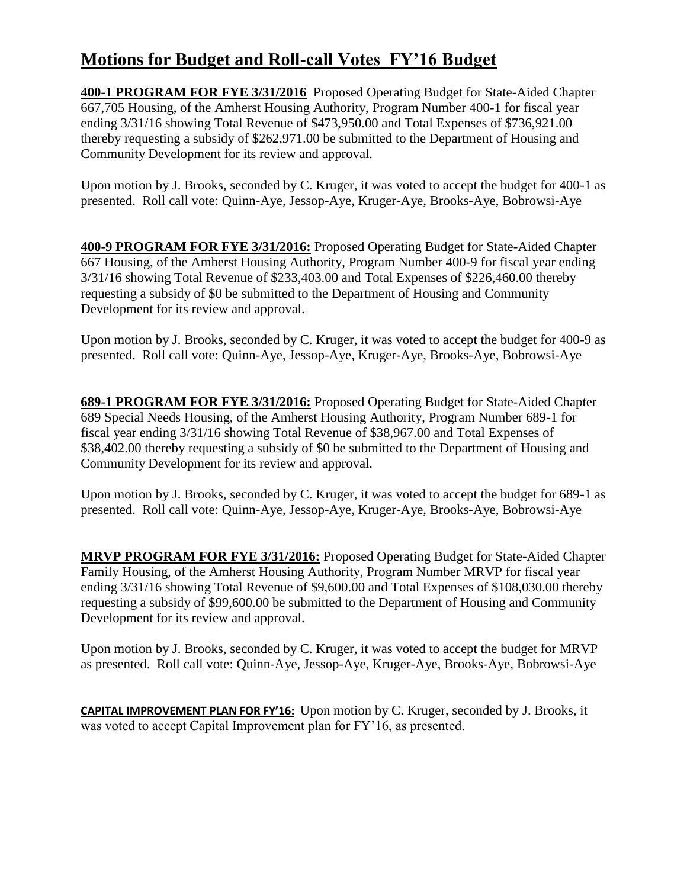# **Motions for Budget and Roll-call Votes FY'16 Budget**

**400-1 PROGRAM FOR FYE 3/31/2016** Proposed Operating Budget for State-Aided Chapter 667,705 Housing, of the Amherst Housing Authority, Program Number 400-1 for fiscal year ending 3/31/16 showing Total Revenue of \$473,950.00 and Total Expenses of \$736,921.00 thereby requesting a subsidy of \$262,971.00 be submitted to the Department of Housing and Community Development for its review and approval.

Upon motion by J. Brooks, seconded by C. Kruger, it was voted to accept the budget for 400-1 as presented. Roll call vote: Quinn-Aye, Jessop-Aye, Kruger-Aye, Brooks-Aye, Bobrowsi-Aye

**400-9 PROGRAM FOR FYE 3/31/2016:** Proposed Operating Budget for State-Aided Chapter 667 Housing, of the Amherst Housing Authority, Program Number 400-9 for fiscal year ending 3/31/16 showing Total Revenue of \$233,403.00 and Total Expenses of \$226,460.00 thereby requesting a subsidy of \$0 be submitted to the Department of Housing and Community Development for its review and approval.

Upon motion by J. Brooks, seconded by C. Kruger, it was voted to accept the budget for 400-9 as presented. Roll call vote: Quinn-Aye, Jessop-Aye, Kruger-Aye, Brooks-Aye, Bobrowsi-Aye

**689-1 PROGRAM FOR FYE 3/31/2016:** Proposed Operating Budget for State-Aided Chapter 689 Special Needs Housing, of the Amherst Housing Authority, Program Number 689-1 for fiscal year ending 3/31/16 showing Total Revenue of \$38,967.00 and Total Expenses of \$38,402.00 thereby requesting a subsidy of \$0 be submitted to the Department of Housing and Community Development for its review and approval.

Upon motion by J. Brooks, seconded by C. Kruger, it was voted to accept the budget for 689-1 as presented. Roll call vote: Quinn-Aye, Jessop-Aye, Kruger-Aye, Brooks-Aye, Bobrowsi-Aye

**MRVP PROGRAM FOR FYE 3/31/2016:** Proposed Operating Budget for State-Aided Chapter Family Housing, of the Amherst Housing Authority, Program Number MRVP for fiscal year ending 3/31/16 showing Total Revenue of \$9,600.00 and Total Expenses of \$108,030.00 thereby requesting a subsidy of \$99,600.00 be submitted to the Department of Housing and Community Development for its review and approval.

Upon motion by J. Brooks, seconded by C. Kruger, it was voted to accept the budget for MRVP as presented. Roll call vote: Quinn-Aye, Jessop-Aye, Kruger-Aye, Brooks-Aye, Bobrowsi-Aye

**CAPITAL IMPROVEMENT PLAN FOR FY'16:** Upon motion by C. Kruger, seconded by J. Brooks, it was voted to accept Capital Improvement plan for FY'16, as presented.